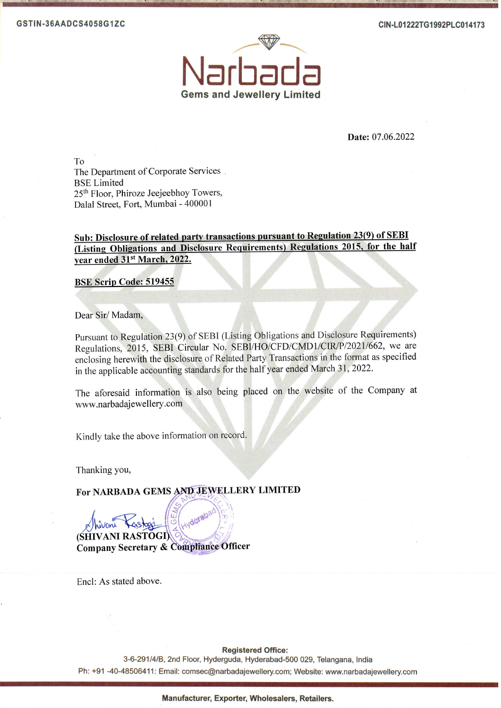

Date: 07.06.2022

To The Department of Corporate Services. **BSE Limited** 25<sup>th</sup> Floor, Phiroze Jeejeebhoy Towers, Dalal Street, Fort, Mumbai - 400001

## Sub: Disclosure of related party transactions pursuant to Regulation 23(9) of SEBI (Listing Obligations and Disclosure Requirements) Regulations 2015, for the half vear ended 31st March, 2022.

**BSE Scrip Code: 519455** 

Dear Sir/Madam,

Pursuant to Regulation 23(9) of SEBI (Listing Obligations and Disclosure Requirements) Regulations, 2015, SEBI Circular No. SEBI/HO/CFD/CMD1/CIR/P/2021/662, we are enclosing herewith the disclosure of Related Party Transactions in the format as specified in the applicable accounting standards for the half year ended March 31, 2022.

The aforesaid information is also being placed on the website of the Company at www.narbadajewellery.com

Kindly take the above information on record.

Thanking you,

For NARBADA GEMS AND JEWELLERY LIMITED

(SHIVANI RASTOGI) Company Secretary & Compliance Officer

Encl: As stated above.

**Registered Office:** 

3-6-291/4/B, 2nd Floor, Hyderguda, Hyderabad-500 029, Telangana, India Ph: +91-40-48506411: Email: comsec@narbadajewellery.com; Website: www.narbadajewellery.com

Manufacturer, Exporter, Wholesalers, Retailers.